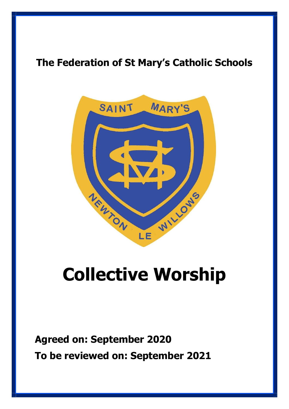# **The Federation of St Mary's Catholic Schools**



# **Collective Worship**

**Agreed on: September 2020 To be reviewed on: September 2021**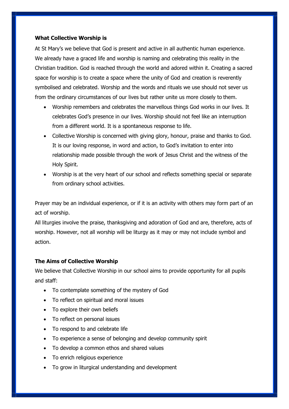## **What Collective Worship is**

At St Mary's we believe that God is present and active in all authentic human experience. We already have a graced life and worship is naming and celebrating this reality in the Christian tradition. God is reached through the world and adored within it. Creating a sacred space for worship is to create a space where the unity of God and creation is reverently symbolised and celebrated. Worship and the words and rituals we use should not sever us from the ordinary circumstances of our lives but rather unite us more closely to them.

- Worship remembers and celebrates the marvellous things God works in our lives. It celebrates God's presence in our lives. Worship should not feel like an interruption from a different world. It is a spontaneous response to life.
- Collective Worship is concerned with giving glory, honour, praise and thanks to God. It is our loving response, in word and action, to God's invitation to enter into relationship made possible through the work of Jesus Christ and the witness of the Holy Spirit.
- Worship is at the very heart of our school and reflects something special or separate from ordinary school activities.

Prayer may be an individual experience, or if it is an activity with others may form part of an act of worship.

All liturgies involve the praise, thanksgiving and adoration of God and are, therefore, acts of worship. However, not all worship will be liturgy as it may or may not include symbol and action.

# **The Aims of Collective Worship**

We believe that Collective Worship in our school aims to provide opportunity for all pupils and staff:

- To contemplate something of the mystery of God
- To reflect on spiritual and moral issues
- To explore their own beliefs
- To reflect on personal issues
- To respond to and celebrate life
- To experience a sense of belonging and develop community spirit
- To develop a common ethos and shared values
- To enrich religious experience
- To grow in liturgical understanding and development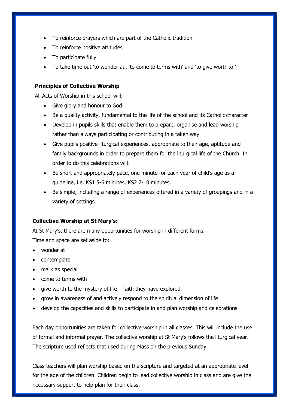- To reinforce prayers which are part of the Catholic tradition
- To reinforce positive attitudes
- To participate fully
- To take time out 'to wonder at', 'to come to terms with' and 'to give worth to.'

## **Principles of Collective Worship**

All Acts of Worship in this school will:

- Give glory and honour to God
- Be a quality activity, fundamental to the life of the school and its Catholic character
- Develop in pupils skills that enable them to prepare, organise and lead worship rather than always participating or contributing in a taken way
- Give pupils positive liturgical experiences, appropriate to their age, aptitude and family backgrounds in order to prepare them for the liturgical life of the Church. In order to do this celebrations will:
- Be short and appropriately pace, one minute for each year of child's age as a guideline, i.e. KS1 5-6 minutes, KS2 7-10 minutes.
- Be simple, including a range of experiences offered in a variety of groupings and in a variety of settings.

### **Collective Worship at St Mary's:**

At St Mary's, there are many opportunities for worship in different forms. Time and space are set aside to:

- wonder at
- contemplate
- mark as special
- come to terms with
- give worth to the mystery of life faith they have explored
- grow in awareness of and actively respond to the spiritual dimension of life
- develop the capacities and skills to participate in and plan worship and celebrations

Each day opportunities are taken for collective worship in all classes. This will include the use of formal and informal prayer. The collective worship at St Mary's follows the liturgical year. The scripture used reflects that used during Mass on the previous Sunday.

Class teachers will plan worship based on the scripture and targeted at an appropriate level for the age of the children. Children begin to lead collective worship in class and are give the necessary support to help plan for their class.